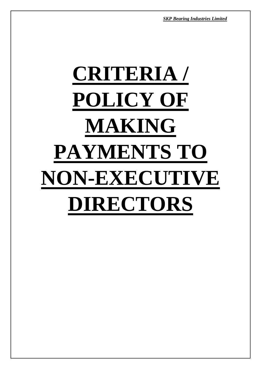*SKP Bearing Industries Limited*

# **CRITERIA / POLICY OF MAKING PAYMENTS TO NON-EXECUTIVE DIRECTORS**